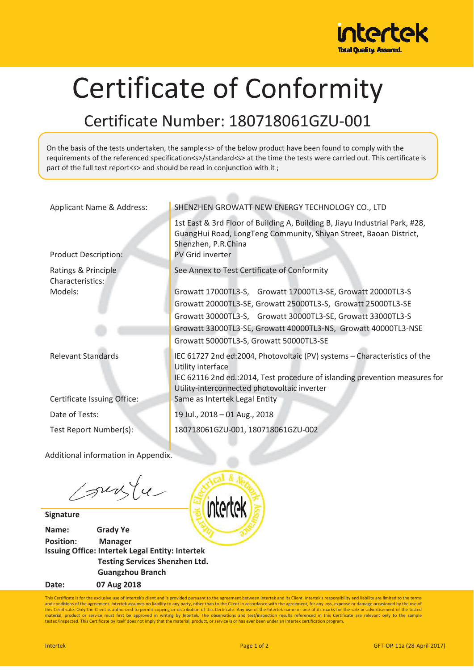

## Certificate of Conformity

## Certificate Number: 180718061GZU-001

On the basis of the tests undertaken, the sample<s> of the below product have been found to comply with the requirements of the referenced specification<s>/standard<s> at the time the tests were carried out. This certificate is part of the full test report<s> and should be read in conjunction with it ;

| Applicant Name & Address:               | SHENZHEN GROWATT NEW ENERGY TECHNOLOGY CO., LTD                                                                                                                                             |
|-----------------------------------------|---------------------------------------------------------------------------------------------------------------------------------------------------------------------------------------------|
| <b>Product Description:</b>             | 1st East & 3rd Floor of Building A, Building B, Jiayu Industrial Park, #28,<br>GuangHui Road, LongTeng Community, Shiyan Street, Baoan District,<br>Shenzhen, P.R.China<br>PV Grid inverter |
|                                         |                                                                                                                                                                                             |
| Ratings & Principle<br>Characteristics: | See Annex to Test Certificate of Conformity                                                                                                                                                 |
| Models:                                 | Growatt 17000TL3-S, Growatt 17000TL3-SE, Growatt 20000TL3-S                                                                                                                                 |
|                                         | Growatt 20000TL3-SE, Growatt 25000TL3-S, Growatt 25000TL3-SE                                                                                                                                |
|                                         | Growatt 30000TL3-S, Growatt 30000TL3-SE, Growatt 33000TL3-S                                                                                                                                 |
|                                         | Growatt 33000TL3-SE, Growatt 40000TL3-NS, Growatt 40000TL3-NSE                                                                                                                              |
|                                         | Growatt 50000TL3-S, Growatt 50000TL3-SE                                                                                                                                                     |
| <b>Relevant Standards</b>               | IEC 61727 2nd ed:2004, Photovoltaic (PV) systems - Characteristics of the<br>Utility interface                                                                                              |
|                                         | IEC 62116 2nd ed.:2014, Test procedure of islanding prevention measures for<br>Utility-interconnected photovoltaic inverter                                                                 |
| Certificate Issuing Office:             | Same as Intertek Legal Entity                                                                                                                                                               |
| Date of Tests:                          | 19 Jul., 2018 - 01 Aug., 2018                                                                                                                                                               |
| Test Report Number(s):                  | 180718061GZU-001, 180718061GZU-002                                                                                                                                                          |
|                                         |                                                                                                                                                                                             |
| Additional information in Appendix.     |                                                                                                                                                                                             |

sunge

**Signature**

**Name:Grady Ye Position: Manager Issuing Office: Intertek Legal Entity: Intertek Testing Services Shenzhen Ltd. Guangzhou Branch Date:07 Aug 2018**

intertek

This Certificate is for the exclusive use of Intertek's client and is provided pursuant to the agreement between Intertek and its Client. Intertek's responsibility and liability are limited to the terms and conditions of the agreement. Intertek assumes no liability to any party, other than to the Client in accordance with the agreement, for any loss, expense or damage occasioned by the use of<br>this Certificate. Only the Cl tested/inspected. This Certificate by itself does not imply that the material, product, or service is or has ever been under an Intertek certification program.